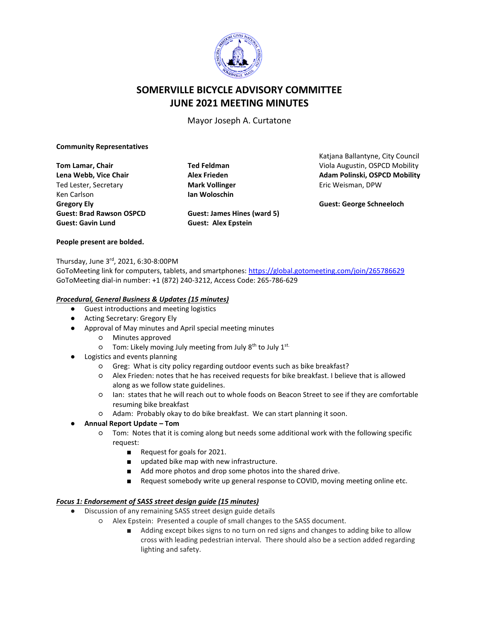

# **SOMERVILLE BICYCLE ADVISORY COMMITTEE JUNE 2021 MEETING MINUTES**

Mayor Joseph A. Curtatone

#### **Community Representatives**

**Tom Lamar, Chair Lena Webb, Vice Chair** Ted Lester, Secretary Ken Carlson **Gregory Ely Guest: Brad Rawson OSPCD Guest: Gavin Lund**

**Ted Feldman Alex Frieden Mark Vollinger Ian Woloschin**

**Guest: Alex Epstein**

Katjana Ballantyne, City Council Viola Augustin, OSPCD Mobility **Adam Polinski, OSPCD Mobility** Eric Weisman, DPW

**Guest: George Schneeloch**

#### **People present are bolded.**

Thursday, June 3<sup>rd</sup>, 2021, 6:30-8:00PM

GoToMeeting link for computers, tablets, and smartphones: <https://global.gotomeeting.com/join/265786629> GoToMeeting dial-in number: +1 (872) 240-3212, Access Code: 265-786-629

**Guest: James Hines (ward 5)**

#### *Procedural, General Business & Updates (15 minutes)*

- Guest introductions and meeting logistics
- Acting Secretary: Gregory Ely
- Approval of May minutes and April special meeting minutes
	- Minutes approved
	- Tom: Likely moving July meeting from July 8<sup>th</sup> to July 1<sup>st.</sup>
- Logistics and events planning
	- Greg: What is city policy regarding outdoor events such as bike breakfast?
	- Alex Frieden: notes that he has received requests for bike breakfast. I believe that is allowed along as we follow state guidelines.
	- Ian: states that he will reach out to whole foods on Beacon Street to see if they are comfortable resuming bike breakfast
	- Adam: Probably okay to do bike breakfast. We can start planning it soon.
- **Annual Report Update – Tom**
	- Tom: Notes that it is coming along but needs some additional work with the following specific request:
		- Request for goals for 2021.
		- updated bike map with new infrastructure.
		- Add more photos and drop some photos into the shared drive.
		- Request somebody write up general response to COVID, moving meeting online etc.

### *Focus 1: Endorsement of SASS street design guide (15 minutes)*

- Discussion of any remaining SASS street design guide details
	- Alex Epstein: Presented a couple of small changes to the SASS document.
		- Adding except bikes signs to no turn on red signs and changes to adding bike to allow cross with leading pedestrian interval. There should also be a section added regarding lighting and safety.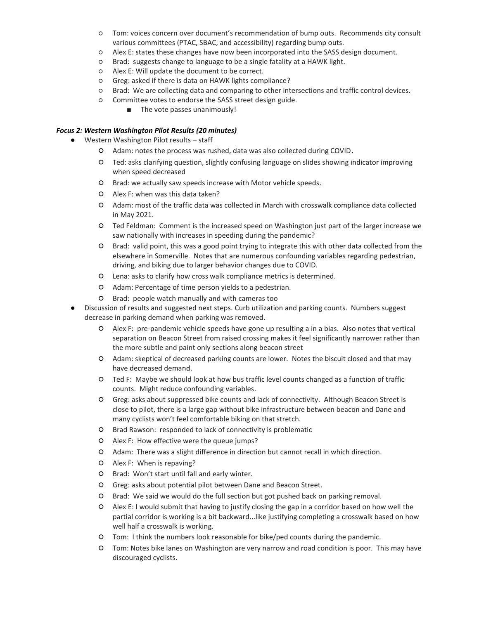- Tom: voices concern over document's recommendation of bump outs. Recommends city consult various committees (PTAC, SBAC, and accessibility) regarding bump outs.
- Alex E: states these changes have now been incorporated into the SASS design document.
- Brad: suggests change to language to be a single fatality at a HAWK light.
- Alex E: Will update the document to be correct.
- Greg: asked if there is data on HAWK lights compliance?
- Brad: We are collecting data and comparing to other intersections and traffic control devices.
- Committee votes to endorse the SASS street design guide.
	- The vote passes unanimously!

## *Focus 2: Western Washington Pilot Results (20 minutes)*

- Western Washington Pilot results staff
	- Adam: notes the process was rushed, data was also collected during COVID.
	- Ted: asks clarifying question, slightly confusing language on slides showing indicator improving when speed decreased
	- Brad: we actually saw speeds increase with Motor vehicle speeds.
	- Alex F: when was this data taken?
	- Adam: most of the traffic data was collected in March with crosswalk compliance data collected in May 2021.
	- Ted Feldman: Comment is the increased speed on Washington just part of the larger increase we saw nationally with increases in speeding during the pandemic?
	- Brad: valid point, this was a good point trying to integrate this with other data collected from the elsewhere in Somerville. Notes that are numerous confounding variables regarding pedestrian, driving, and biking due to larger behavior changes due to COVID.
	- Lena: asks to clarify how cross walk compliance metrics is determined.
	- Adam: Percentage of time person yields to a pedestrian.
	- Brad: people watch manually and with cameras too
- Discussion of results and suggested next steps. Curb utilization and parking counts. Numbers suggest decrease in parking demand when parking was removed.
	- Alex F: pre-pandemic vehicle speeds have gone up resulting a in a bias. Also notes that vertical separation on Beacon Street from raised crossing makes it feel significantly narrower rather than the more subtle and paint only sections along beacon street
	- Adam: skeptical of decreased parking counts are lower. Notes the biscuit closed and that may have decreased demand.
	- Ted F: Maybe we should look at how bus traffic level counts changed as a function of traffic counts. Might reduce confounding variables.
	- Greg: asks about suppressed bike counts and lack of connectivity. Although Beacon Street is close to pilot, there is a large gap without bike infrastructure between beacon and Dane and many cyclists won't feel comfortable biking on that stretch.
	- Brad Rawson: responded to lack of connectivity is problematic
	- Alex F: How effective were the queue jumps?
	- Adam: There was a slight difference in direction but cannot recall in which direction.
	- Alex F: When is repaving?
	- Brad: Won't start until fall and early winter.
	- Greg: asks about potential pilot between Dane and Beacon Street.
	- Brad: We said we would do the full section but got pushed back on parking removal.
	- Alex E: I would submit that having to justify closing the gap in a corridor based on how well the partial corridor is working is a bit backward...like justifying completing a crosswalk based on how well half a crosswalk is working.
	- Tom: I think the numbers look reasonable for bike/ped counts during the pandemic.
	- Tom: Notes bike lanes on Washington are very narrow and road condition is poor. This may have discouraged cyclists.